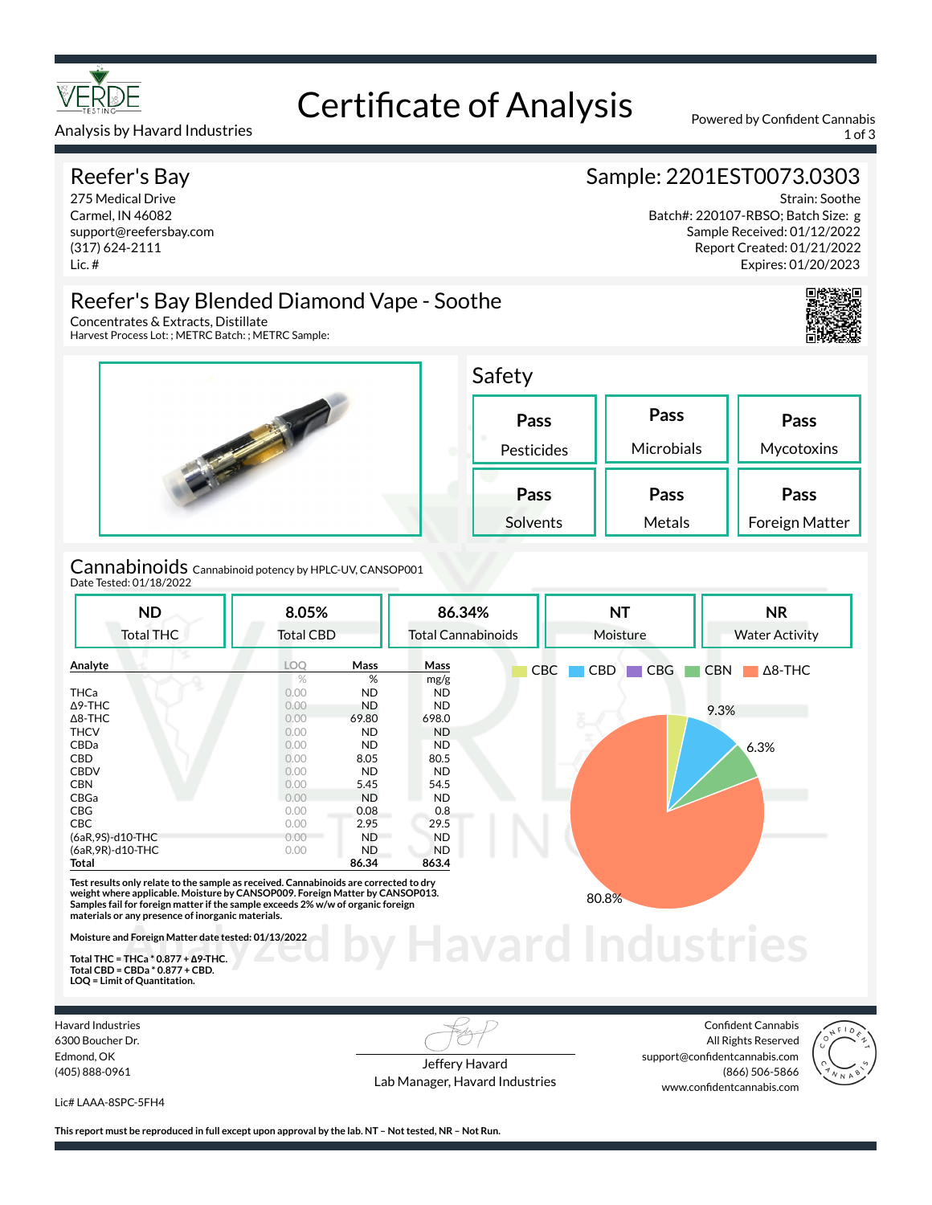

# Certificate of Analysis Powered by Confident Cannabis

Analysis by Havard Industries 1 of 3

#### Reefer's Bay

275 Medical Drive Carmel, IN 46082 support@reefersbay.com (317) 624-2111 Lic. #

Concentrates & Extracts, Distillate

Harvest Process Lot: ; METRC Batch: ; METRC Sample:

## Sample: 2201EST0073.0303

Strain: Soothe Batch#: 220107-RBSO; Batch Size: g Sample Received: 01/12/2022 Report Created: 01/21/2022 Expires: 01/20/2023





Reefer's Bay Blended Diamond Vape - Soothe

| Safety     |            |                |
|------------|------------|----------------|
| Pass       | Pass       | Pass           |
| Pesticides | Microbials | Mycotoxins     |
| Pass       | Pass       | Pass           |
| Solvents   | Metals     | Foreign Matter |

Cannabinoids Cannabinoid potency by HPLC-UV, CANSOP001 Date Tested: 01/18/2022

| <b>ND</b><br><b>Total THC</b> | 8.05%<br><b>Total CBD</b> |           | 86.34%<br><b>Total Cannabinoids</b> |     | <b>NT</b><br>Moisture    | <b>NR</b><br><b>Water Activity</b> |  |  |
|-------------------------------|---------------------------|-----------|-------------------------------------|-----|--------------------------|------------------------------------|--|--|
| Analyte                       | LOO                       | Mass      | Mass                                | CBC | <b>CBG</b><br><b>CBD</b> | <b>CBN</b><br>$\Delta$ 8-THC       |  |  |
|                               | %                         | %         | mg/g                                |     |                          |                                    |  |  |
| <b>THCa</b>                   | 0.00                      | <b>ND</b> | ND.                                 |     |                          |                                    |  |  |
| $\Delta$ 9-THC                | 0.00                      | <b>ND</b> | ND.                                 |     |                          | 9.3%                               |  |  |
| $\Delta$ 8-THC                | 0.00                      | 69.80     | 698.0                               |     |                          |                                    |  |  |
| <b>THCV</b>                   | 0.00                      | <b>ND</b> | <b>ND</b>                           |     |                          |                                    |  |  |
| CBDa                          | 0.00                      | <b>ND</b> | ND.                                 |     |                          | 6.3%                               |  |  |
| CBD                           | 0.00                      | 8.05      | 80.5                                |     |                          |                                    |  |  |
| <b>CBDV</b>                   | 0.00                      | <b>ND</b> | ND.                                 |     |                          |                                    |  |  |
| <b>CBN</b>                    | 0.00                      | 5.45      | 54.5                                |     |                          |                                    |  |  |
| CBGa                          | 0.00                      | <b>ND</b> | ND.                                 |     |                          |                                    |  |  |
| CBG                           | 0.00                      | 0.08      | 0.8                                 |     |                          |                                    |  |  |
| <b>CBC</b>                    | 0.00                      | 2.95      | 29.5                                |     |                          |                                    |  |  |
| (6aR,9S)-d10-THC              | 0.00                      | <b>ND</b> | ND.                                 |     |                          |                                    |  |  |
| (6aR, 9R)-d10-THC             | 0.00                      | <b>ND</b> | <b>ND</b>                           |     |                          |                                    |  |  |
| Total                         |                           | 86.34     | 863.4                               |     |                          |                                    |  |  |

**materials or any presence of inorganic materials.** 

**Moisture and Foreign Matter date tested: 01/13/2022** 

**Total THC = THCa \* 0.877 + ∆9-THC. Total CBD = CBDa \* 0.877 + CBD. LOQ = Limit of Quantitation.**

Havard Industries 6300 Boucher Dr. Edmond, OK (405) 888-0961

Jeffery Havard Lab Manager, Havard Industries

**by Havard Industries** 

Confident Cannabis All Rights Reserved support@confidentcannabis.com (866) 506-5866 www.confidentcannabis.com



Lic# LAAA-8SPC-5FH4

**This report must be reproduced in full except upon approval by the lab. NT – Not tested, NR – Not Run.**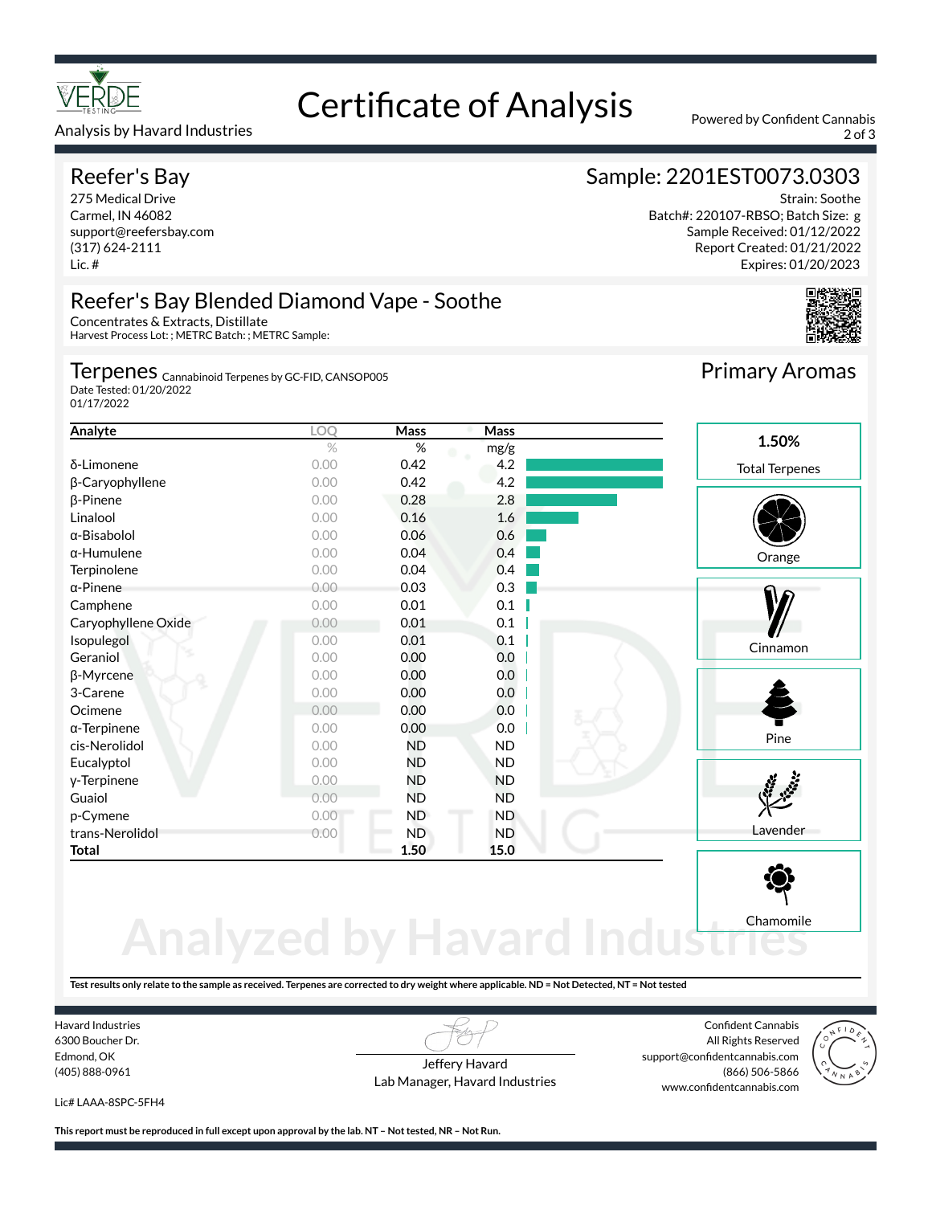

#### Analysis by Havard Industries 2 of 3

#### Reefer's Bay

275 Medical Drive Carmel, IN 46082 support@reefersbay.com (317) 624-2111 Lic. #

# Certificate of Analysis Powered by Confident Cannabis

## Sample: 2201EST0073.0303

Strain: Soothe Batch#: 220107-RBSO; Batch Size: g Sample Received: 01/12/2022 Report Created: 01/21/2022 Expires: 01/20/2023



## Reefer's Bay Blended Diamond Vape - Soothe

Concentrates & Extracts, Distillate Harvest Process Lot: ; METRC Batch: ; METRC Sample:

Terpenes <sub>Cannabinoid Terpenes by GC-FID, CANSOP005</sub>

Date Tested: 01/20/2022 01/17/2022

| Analyte             | LOO  | Mass      | Mass      |                       |
|---------------------|------|-----------|-----------|-----------------------|
|                     | $\%$ | %         | mg/g      | 1.50%                 |
| δ-Limonene          | 0.00 | 0.42      | 4.2       | <b>Total Terpenes</b> |
| β-Caryophyllene     | 0.00 | 0.42      | 4.2       |                       |
| $\beta$ -Pinene     | 0.00 | 0.28      | 2.8       |                       |
| Linalool            | 0.00 | 0.16      | 1.6       |                       |
| $\alpha$ -Bisabolol | 0.00 | 0.06      | 0.6       |                       |
| $\alpha$ -Humulene  | 0.00 | 0.04      | 0.4       | Orange                |
| Terpinolene         | 0.00 | 0.04      | 0.4       |                       |
| $\alpha$ -Pinene    | 0.00 | 0.03      | 0.3       |                       |
| Camphene            | 0.00 | 0.01      | 0.1       |                       |
| Caryophyllene Oxide | 0.00 | 0.01      | 0.1       |                       |
| Isopulegol          | 0.00 | 0.01      | 0.1       | Cinnamon              |
| Geraniol            | 0.00 | 0.00      | 0.0       |                       |
| β-Myrcene           | 0.00 | 0.00      | 0.0       |                       |
| 3-Carene            | 0.00 | 0.00      | 0.0       |                       |
| Ocimene             | 0.00 | 0.00      | 0.0       |                       |
| $\alpha$ -Terpinene | 0.00 | 0.00      | 0.0       |                       |
| cis-Nerolidol       | 0.00 | <b>ND</b> | <b>ND</b> | Pine                  |
| Eucalyptol          | 0.00 | <b>ND</b> | ND.       |                       |
| y-Terpinene         | 0.00 | <b>ND</b> | <b>ND</b> |                       |
| Guaiol              | 0.00 | <b>ND</b> | <b>ND</b> |                       |
| p-Cymene            | 0.00 | <b>ND</b> | <b>ND</b> |                       |
| trans-Nerolidol     | 0.00 | <b>ND</b> | <b>ND</b> | Lavender              |
| Total               |      | 1.50      | 15.0      |                       |
|                     |      |           |           |                       |

# **Analyzed by Havard Ind** Chamomile

**Test results only relate to the sample as received. Terpenes are corrected to dry weight where applicable. ND = Not Detected, NT = Not tested**

Havard Industries 6300 Boucher Dr. Edmond, OK (405) 888-0961

Jeffery Havard Lab Manager, Havard Industries

Confident Cannabis All Rights Reserved support@confidentcannabis.com (866) 506-5866 www.confidentcannabis.com



Lic# LAAA-8SPC-5FH4

**This report must be reproduced in full except upon approval by the lab. NT – Not tested, NR – Not Run.**

Primary Aromas